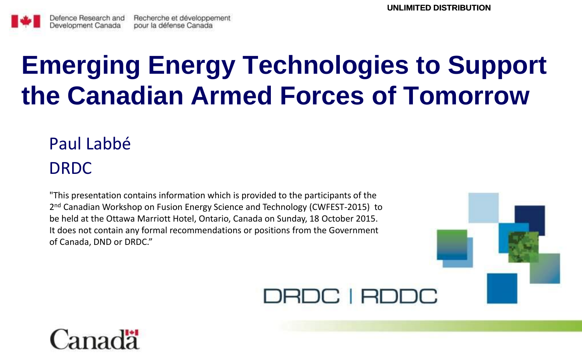

# **Emerging Energy Technologies to Support the Canadian Armed Forces of Tomorrow**

# Paul Labbé DRDC

"This presentation contains information which is provided to the participants of the 2<sup>nd</sup> Canadian Workshop on Fusion Energy Science and Technology (CWFEST-2015) to be held at the Ottawa Marriott Hotel, Ontario, Canada on Sunday, 18 October 2015. It does not contain any formal recommendations or positions from the Government of Canada, DND or DRDC."



## DRDC | RDDC

# Canadä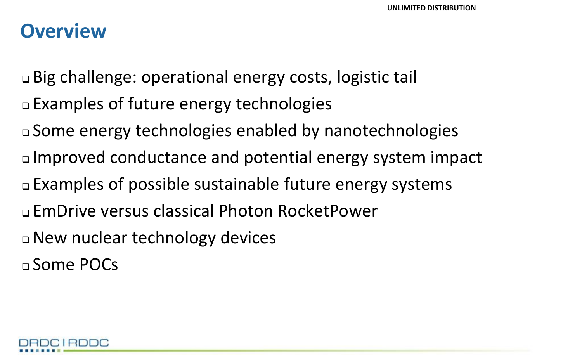### **Overview**

 Big challenge: operational energy costs, logistic tail Examples of future energy technologies Some energy technologies enabled by nanotechnologies Improved conductance and potential energy system impact Examples of possible sustainable future energy systems EmDrive versus classical Photon RocketPower New nuclear technology devices Some POCs

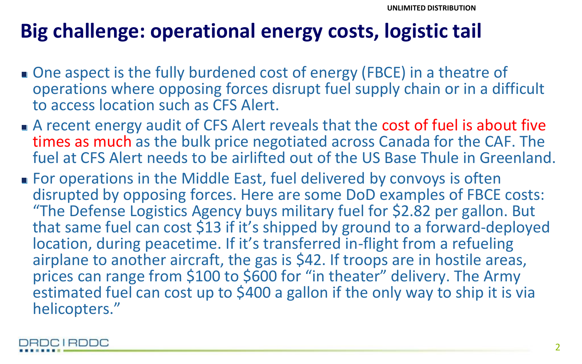# **Big challenge: operational energy costs, logistic tail**

- One aspect is the fully burdened cost of energy (FBCE) in a theatre of operations where opposing forces disrupt fuel supply chain or in a difficult to access location such as CFS Alert.
- A recent energy audit of CFS Alert reveals that the cost of fuel is about five times as much as the bulk price negotiated across Canada for the CAF. The fuel at CFS Alert needs to be airlifted out of the US Base Thule in Greenland.
- For operations in the Middle East, fuel delivered by convoys is often disrupted by opposing forces. Here are some DoD examples of FBCE costs: "The Defense Logistics Agency buys military fuel for \$2.82 per gallon. But that same fuel can cost \$13 if it's shipped by ground to a forward-deployed location, during peacetime. If it's transferred in-flight from a refueling airplane to another aircraft, the gas is \$42. If troops are in hostile areas, prices can range from \$100 to \$600 for "in theater" delivery. The Army estimated fuel can cost up to \$400 a gallon if the only way to ship it is via helicopters."

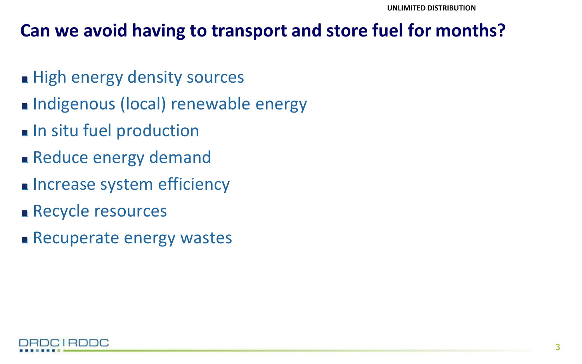### **Can we avoid having to transport and store fuel for months?**

- High energy density sources
- Indigenous (local) renewable energy
- **In situ fuel production**
- Reduce energy demand
- **Increase system efficiency**
- **Recycle resources**
- Recuperate energy wastes

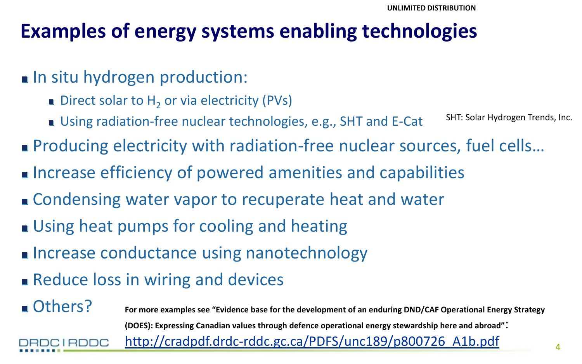# **Examples of energy systems enabling technologies**

### In situ hydrogen production:

- Direct solar to  $H<sub>2</sub>$  or via electricity (PVs)
- Using radiation-free nuclear technologies, e.g., SHT and E-Cat SHT: Solar Hydrogen Trends, Inc.
- Producing electricity with radiation-free nuclear sources, fuel cells...
- Increase efficiency of powered amenities and capabilities
- **Condensing water vapor to recuperate heat and water**
- Using heat pumps for cooling and heating
- **Increase conductance using nanotechnology**
- **Reduce loss in wiring and devices**
- Others? **For more examples see "Evidence base for the development of an enduring DND/CAF Operational Energy Strategy (DOES): Expressing Canadian values through defence operational energy stewardship here and abroad"**: [http://cradpdf.drdc-rddc.gc.ca/PDFS/unc189/p800726\\_A1b.pdf](http://cradpdf.drdc-rddc.gc.ca/PDFS/unc189/p800726_A1b.pdf) CIRDDC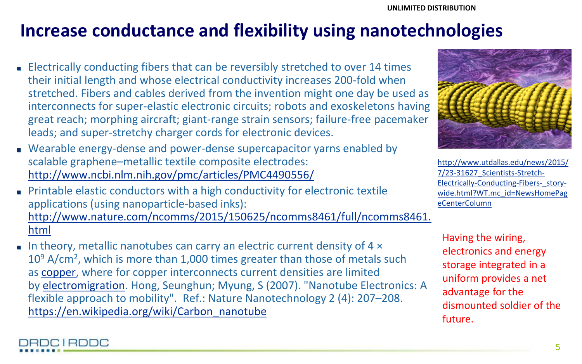### **Increase conductance and flexibility using nanotechnologies**

- **Electrically conducting fibers that can be reversibly stretched to over 14 times** their initial length and whose electrical conductivity increases 200-fold when stretched. Fibers and cables derived from the invention might one day be used as interconnects for super-elastic electronic circuits; robots and exoskeletons having great reach; morphing aircraft; giant-range strain sensors; failure-free pacemaker leads; and super-stretchy charger cords for electronic devices.
- Wearable energy-dense and power-dense supercapacitor yarns enabled by scalable graphene–metallic textile composite electrodes: <http://www.ncbi.nlm.nih.gov/pmc/articles/PMC4490556/>
- **Printable elastic conductors with a high conductivity for electronic textile** applications (using nanoparticle-based inks): [http://www.nature.com/ncomms/2015/150625/ncomms8461/full/ncomms8461.](http://www.nature.com/ncomms/2015/150625/ncomms8461/full/ncomms8461.html) [html](http://www.nature.com/ncomms/2015/150625/ncomms8461/full/ncomms8461.html)
- In theory, metallic nanotubes can carry an electric current density of  $4 \times$ 10<sup>9</sup> A/cm<sup>2</sup>, which is more than 1,000 times greater than those of metals such as [copper,](https://en.wikipedia.org/wiki/Copper) where for copper interconnects current densities are limited by [electromigration.](https://en.wikipedia.org/wiki/Electromigration) Hong, Seunghun; Myung, S (2007). "Nanotube Electronics: A flexible approach to mobility". Ref.: Nature Nanotechnology 2 (4): 207–208. [https://en.wikipedia.org/wiki/Carbon\\_nanotube](https://en.wikipedia.org/wiki/Carbon_nanotube)

BDC I BDDC



[http://www.utdallas.edu/news/2015/](http://www.utdallas.edu/news/2015/7/23-31627_Scientists-Stretch-Electrically-Conducting-Fibers-_story-wide.html?WT.mc_id=NewsHomePageCenterColumn) [7/23-31627\\_Scientists-Stretch-](http://www.utdallas.edu/news/2015/7/23-31627_Scientists-Stretch-Electrically-Conducting-Fibers-_story-wide.html?WT.mc_id=NewsHomePageCenterColumn)[Electrically-Conducting-Fibers-\\_story](http://www.utdallas.edu/news/2015/7/23-31627_Scientists-Stretch-Electrically-Conducting-Fibers-_story-wide.html?WT.mc_id=NewsHomePageCenterColumn)[wide.html?WT.mc\\_id=NewsHomePag](http://www.utdallas.edu/news/2015/7/23-31627_Scientists-Stretch-Electrically-Conducting-Fibers-_story-wide.html?WT.mc_id=NewsHomePageCenterColumn) [eCenterColumn](http://www.utdallas.edu/news/2015/7/23-31627_Scientists-Stretch-Electrically-Conducting-Fibers-_story-wide.html?WT.mc_id=NewsHomePageCenterColumn)

Having the wiring, electronics and energy storage integrated in a uniform provides a net advantage for the dismounted soldier of the future.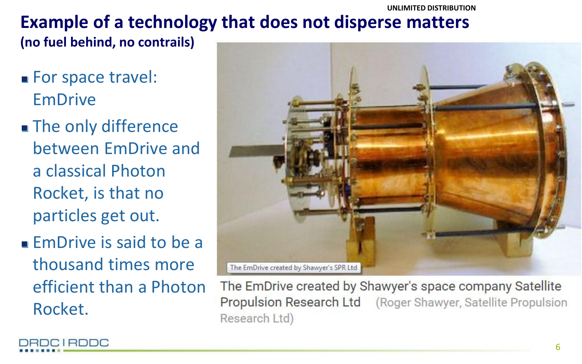#### **UNLIMITED DISTRIBUTION**

# **Example of a technology that does not disperse matters**

**(no fuel behind, no contrails)** 

- **For space travel:** EmDrive
- **The only difference** between EmDrive and a classical Photon Rocket, is that no particles get out.
- **EmDrive is said to be a** thousand times more efficient than a Photon Rocket.



The EmDrive created by Shawyer's space company Satellite Propulsion Research Ltd (Roger Shawyer, Satellite Propulsion Research Ltd)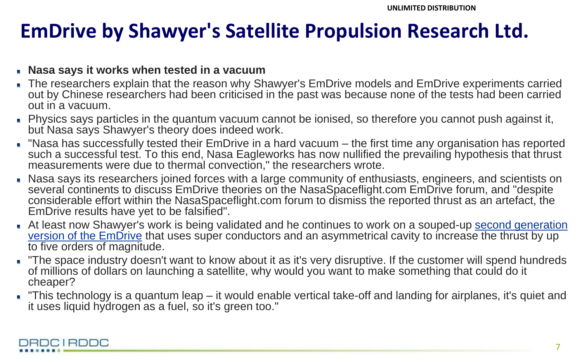# **EmDrive by Shawyer's Satellite Propulsion Research Ltd.**

#### **Nasa says it works when tested in a vacuum**

- The researchers explain that the reason why Shawyer's EmDrive models and EmDrive experiments carried out by Chinese researchers had been criticised in the past was because none of the tests had been carried out in a vacuum.
- Physics says particles in the quantum vacuum cannot be ionised, so therefore you cannot push against it, but Nasa says Shawyer's theory does indeed work.
- "Nasa has successfully tested their EmDrive in a hard vacuum the first time any organisation has reported such a successful test. To this end, Nasa Eagleworks has now nullified the prevailing hypothesis that thrust measurements were due to thermal convection," the researchers wrote.
- Nasa says its researchers joined forces with a large community of enthusiasts, engineers, and scientists on several continents to discuss EmDrive theories on the NasaSpaceflight.com EmDrive forum, and "despite considerable effort within the NasaSpaceflight.com forum to dismiss the reported thrust as an artefact, the EmDrive results have yet to be falsified".
- At least now Shawyer's work is being validated and he continues to work on a souped-up [second generation](http://vimeo.com/channels/Emdrive)  [version of the EmDrive](http://vimeo.com/channels/Emdrive) that uses super conductors and an asymmetrical cavity to increase the thrust by up to five orders of magnitude.
- The space industry doesn't want to know about it as it's very disruptive. If the customer will spend hundreds of millions of dollars on launching a satellite, why would you want to make something that could do it cheaper?
- "This technology is a quantum leap it would enable vertical take-off and landing for airplanes, it's quiet and it uses liquid hydrogen as a fuel, so it's green too."

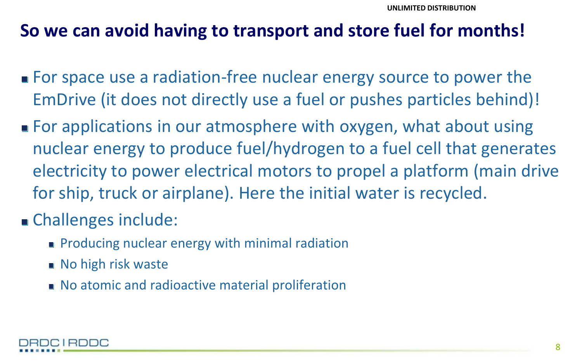### **So we can avoid having to transport and store fuel for months!**

- For space use a radiation-free nuclear energy source to power the EmDrive (it does not directly use a fuel or pushes particles behind)!
- For applications in our atmosphere with oxygen, what about using nuclear energy to produce fuel/hydrogen to a fuel cell that generates electricity to power electrical motors to propel a platform (main drive for ship, truck or airplane). Here the initial water is recycled.

### **Challenges include:**

- **Producing nuclear energy with minimal radiation**
- **No high risk waste**
- No atomic and radioactive material proliferation

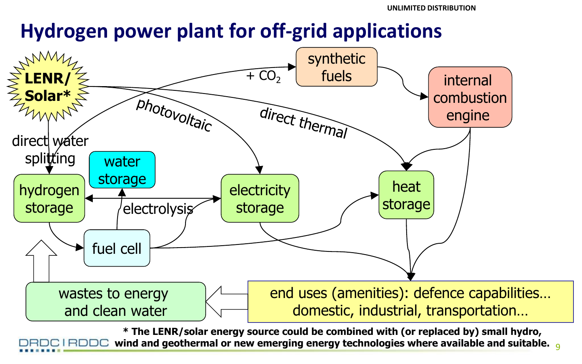# **Hydrogen power plant for off-grid applications**



9 **wind and geothermal or new emerging energy technologies where available and suitable. \* The LENR/solar energy source could be combined with (or replaced by) small hydro,**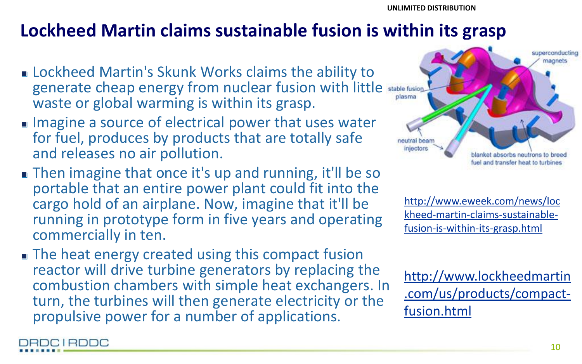### **Lockheed Martin claims sustainable fusion is within its grasp**

- **Example 2 Lockheed Martin's Skunk Works claims the ability to** generate cheap energy from nuclear fusion with little waste or global warming is within its grasp.
- $\blacksquare$  Imagine a source of electrical power that uses water for fuel, produces by products that are totally safe and releases no air pollution.
- Then imagine that once it's up and running, it'll be so portable that an entire power plant could fit into the cargo hold of an airplane. Now, imagine that it'll be running in prototype form in five years and operating commercially in ten.
- **The heat energy created using this compact fusion** reactor will drive turbine generators by replacing the combustion chambers with simple heat exchangers. In turn, the turbines will then generate electricity or the propulsive power for a number of applications.

DRDC I RDDC



[http://www.eweek.com/news/loc](http://www.eweek.com/news/lockheed-martin-claims-sustainable-fusion-is-within-its-grasp.html) [kheed-martin-claims-sustainable](http://www.eweek.com/news/lockheed-martin-claims-sustainable-fusion-is-within-its-grasp.html)[fusion-is-within-its-grasp.html](http://www.eweek.com/news/lockheed-martin-claims-sustainable-fusion-is-within-its-grasp.html)

[http://www.lockheedmartin](http://www.lockheedmartin.com/us/products/compact-fusion.html) [.com/us/products/compact](http://www.lockheedmartin.com/us/products/compact-fusion.html)[fusion.html](http://www.lockheedmartin.com/us/products/compact-fusion.html)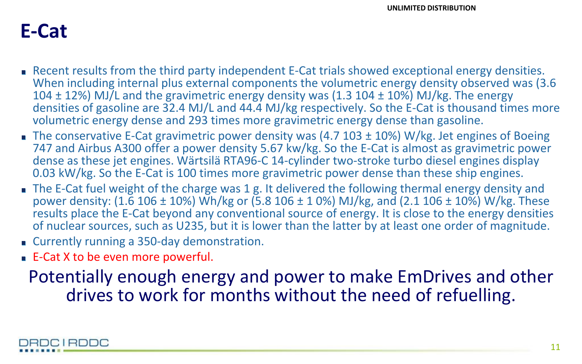### **E-Cat**

- **Recent results from the third party independent E-Cat trials showed exceptional energy densities.** When including internal plus external components the volumetric energy density observed was (3.6 104  $\pm$  12%) MJ/L and the gravimetric energy density was (1.3 104  $\pm$  10%) MJ/kg. The energy densities of gasoline are 32.4 MJ/L and 44.4 MJ/kg respectively. So the E-Cat is thousand times more volumetric energy dense and 293 times more gravimetric energy dense than gasoline.
- The conservative E-Cat gravimetric power density was (4.7  $103 \pm 10$ %) W/kg. Jet engines of Boeing 747 and Airbus A300 offer a power density 5.67 kw/kg. So the E-Cat is almost as gravimetric power dense as these jet engines. Wärtsilä RTA96-C 14-cylinder two-stroke turbo diesel engines display 0.03 kW/kg. So the E-Cat is 100 times more gravimetric power dense than these ship engines.
- The E-Cat fuel weight of the charge was 1 g. It delivered the following thermal energy density and power density: (1.6 106  $\pm$  10%) Wh/kg or (5.8 106  $\pm$  1 0%) MJ/kg, and (2.1 106  $\pm$  10%) W/kg. These results place the E-Cat beyond any conventional source of energy. It is close to the energy densities of nuclear sources, such as U235, but it is lower than the latter by at least one order of magnitude.
- Currently running a 350-day demonstration.
- E-Cat X to be even more powerful.

Potentially enough energy and power to make EmDrives and other drives to work for months without the need of refuelling.

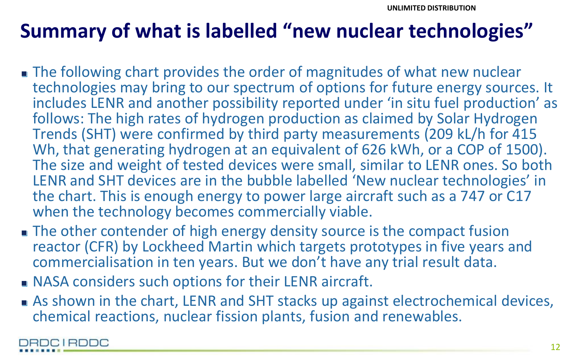# **Summary of what is labelled "new nuclear technologies"**

- The following chart provides the order of magnitudes of what new nuclear technologies may bring to our spectrum of options for future energy sources. It includes LENR and another possibility reported under 'in situ fuel production' as follows: The high rates of hydrogen production as claimed by Solar Hydrogen Trends (SHT) were confirmed by third party measurements (209 kL/h for 415 Wh, that generating hydrogen at an equivalent of 626 kWh, or a COP of 1500). The size and weight of tested devices were small, similar to LENR ones. So both LENR and SHT devices are in the bubble labelled 'New nuclear technologies' in the chart. This is enough energy to power large aircraft such as a 747 or C17 when the technology becomes commercially viable.
- The other contender of high energy density source is the compact fusion reactor (CFR) by Lockheed Martin which targets prototypes in five years and commercialisation in ten years. But we don't have any trial result data.
- **NASA considers such options for their LENR aircraft.**
- As shown in the chart, LENR and SHT stacks up against electrochemical devices, chemical reactions, nuclear fission plants, fusion and renewables.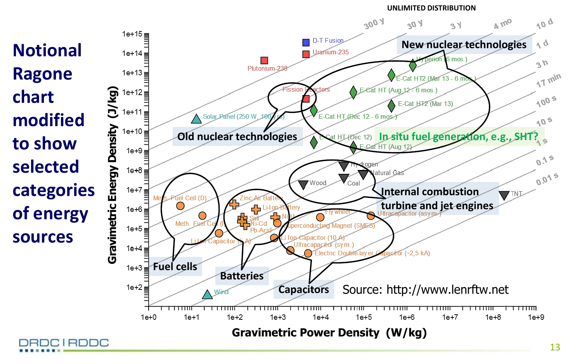**UNLIMITED DISTRIBUTION**

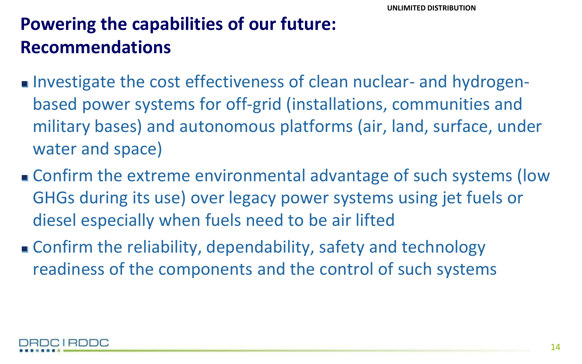## **Powering the capabilities of our future: Recommendations**

- Investigate the cost effectiveness of clean nuclear- and hydrogenbased power systems for off-grid (installations, communities and military bases) and autonomous platforms (air, land, surface, under water and space)
- Confirm the extreme environmental advantage of such systems (low GHGs during its use) over legacy power systems using jet fuels or diesel especially when fuels need to be air lifted
- Confirm the reliability, dependability, safety and technology readiness of the components and the control of such systems

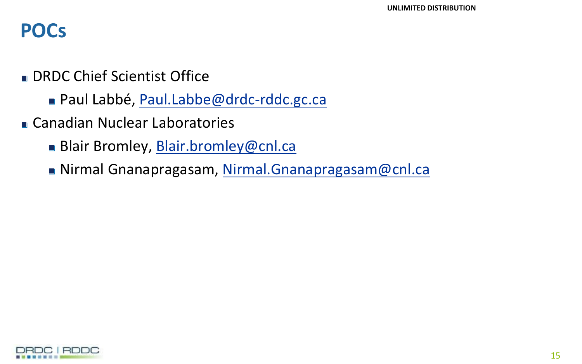### **POCs**

- **DRDC Chief Scientist Office** 
	- Paul Labbé, [Paul.Labbe@drdc-rddc.gc.ca](mailto:Paul.Labbe@drdc-rddc.gc.ca)
- Canadian Nuclear Laboratories
	- Blair Bromley, [Blair.bromley@cnl.ca](mailto:Blair.bromley@cnl.ca)
	- Nirmal Gnanapragasam, [Nirmal.Gnanapragasam@cnl.ca](mailto:Nirmal.Gnanapragasam@cnl.ca)

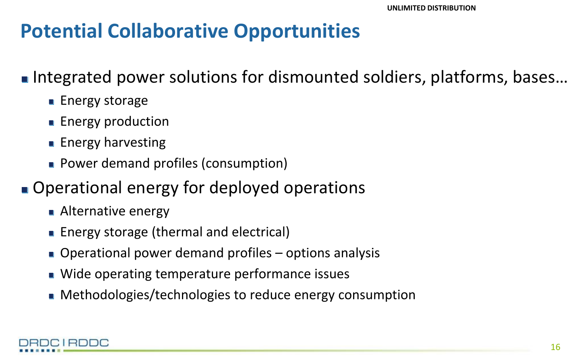# **Potential Collaborative Opportunities**

■ Integrated power solutions for dismounted soldiers, platforms, bases...

- **Energy storage**
- **Energy production**
- **Energy harvesting**
- **Power demand profiles (consumption)**

### ■ Operational energy for deployed operations

- **Alternative energy**
- Energy storage (thermal and electrical)
- Operational power demand profiles options analysis
- Wide operating temperature performance issues
- Methodologies/technologies to reduce energy consumption